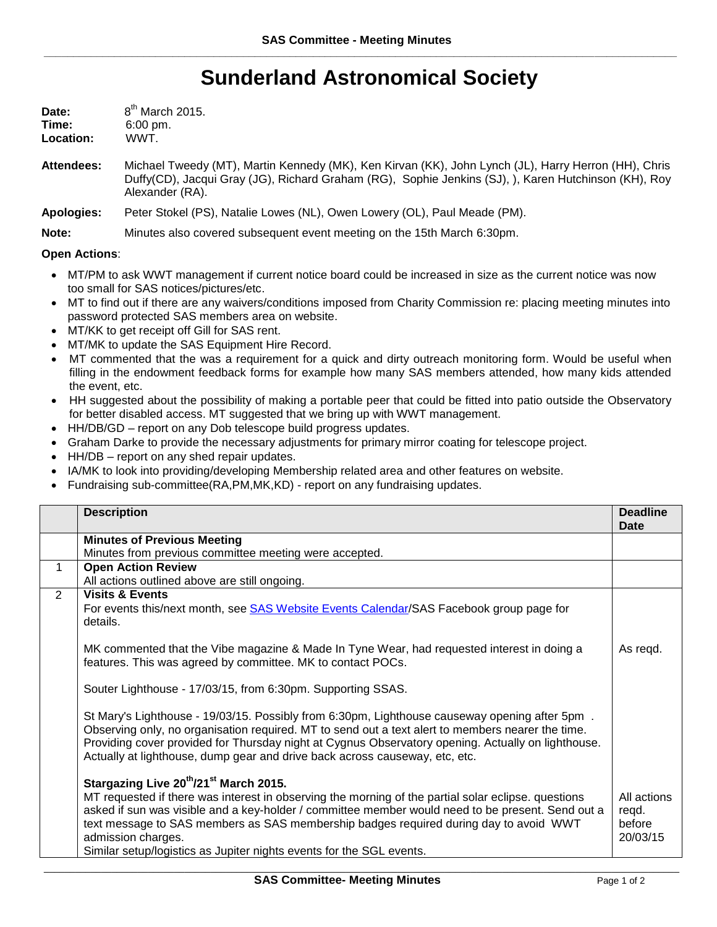## **Sunderland Astronomical Society**

| Date:     | 8 <sup>th</sup> March 2015. |
|-----------|-----------------------------|
| Time:     | $6:00 \text{ pm}$ .         |
| Location: | WWT.                        |

**Attendees:** Michael Tweedy (MT), Martin Kennedy (MK), Ken Kirvan (KK), John Lynch (JL), Harry Herron (HH), Chris Duffy(CD), Jacqui Gray (JG), Richard Graham (RG), Sophie Jenkins (SJ), ), Karen Hutchinson (KH), Roy Alexander (RA).

**Apologies:** Peter Stokel (PS), Natalie Lowes (NL), Owen Lowery (OL), Paul Meade (PM).

**Note:** Minutes also covered subsequent event meeting on the 15th March 6:30pm.

## **Open Actions**:

- MT/PM to ask WWT management if current notice board could be increased in size as the current notice was now too small for SAS notices/pictures/etc.
- MT to find out if there are any waivers/conditions imposed from Charity Commission re: placing meeting minutes into password protected SAS members area on website.
- MT/KK to get receipt off Gill for SAS rent.
- MT/MK to update the SAS Equipment Hire Record.
- MT commented that the was a requirement for a quick and dirty outreach monitoring form. Would be useful when filling in the endowment feedback forms for example how many SAS members attended, how many kids attended the event, etc.
- HH suggested about the possibility of making a portable peer that could be fitted into patio outside the Observatory for better disabled access. MT suggested that we bring up with WWT management.
- HH/DB/GD report on any Dob telescope build progress updates.
- Graham Darke to provide the necessary adjustments for primary mirror coating for telescope project.
- HH/DB report on any shed repair updates.
- IA/MK to look into providing/developing Membership related area and other features on website.
- Fundraising sub-committee(RA,PM,MK,KD) report on any fundraising updates.

|               | <b>Description</b>                                                                                  | <b>Deadline</b> |
|---------------|-----------------------------------------------------------------------------------------------------|-----------------|
|               |                                                                                                     | Date            |
|               | <b>Minutes of Previous Meeting</b>                                                                  |                 |
|               | Minutes from previous committee meeting were accepted.                                              |                 |
| 1             | <b>Open Action Review</b>                                                                           |                 |
|               | All actions outlined above are still ongoing.                                                       |                 |
| $\mathcal{P}$ | <b>Visits &amp; Events</b>                                                                          |                 |
|               | For events this/next month, see SAS Website Events Calendar/SAS Facebook group page for             |                 |
|               | details.                                                                                            |                 |
|               |                                                                                                     |                 |
|               | MK commented that the Vibe magazine & Made In Tyne Wear, had requested interest in doing a          | As regd.        |
|               | features. This was agreed by committee. MK to contact POCs.                                         |                 |
|               |                                                                                                     |                 |
|               | Souter Lighthouse - 17/03/15, from 6:30pm. Supporting SSAS.                                         |                 |
|               |                                                                                                     |                 |
|               | St Mary's Lighthouse - 19/03/15. Possibly from 6:30pm, Lighthouse causeway opening after 5pm.       |                 |
|               | Observing only, no organisation required. MT to send out a text alert to members nearer the time.   |                 |
|               | Providing cover provided for Thursday night at Cygnus Observatory opening. Actually on lighthouse.  |                 |
|               | Actually at lighthouse, dump gear and drive back across causeway, etc, etc.                         |                 |
|               |                                                                                                     |                 |
|               | Stargazing Live 20 <sup>th</sup> /21 <sup>st</sup> March 2015.                                      |                 |
|               | MT requested if there was interest in observing the morning of the partial solar eclipse, questions | All actions     |
|               | asked if sun was visible and a key-holder / committee member would need to be present. Send out a   | regd.           |
|               | text message to SAS members as SAS membership badges required during day to avoid WWT               | before          |
|               | admission charges.                                                                                  | 20/03/15        |
|               | Similar setup/logistics as Jupiter nights events for the SGL events.                                |                 |
|               |                                                                                                     |                 |

\_\_\_\_\_\_\_\_\_\_\_\_\_\_\_\_\_\_\_\_\_\_\_\_\_\_\_\_\_\_\_\_\_\_\_\_\_\_\_\_\_\_\_\_\_\_\_\_\_\_\_\_\_\_\_\_\_\_\_\_\_\_\_\_\_\_\_\_\_\_\_\_\_\_\_\_\_\_\_\_\_\_\_\_\_\_\_\_\_\_\_\_\_\_\_\_\_\_\_\_\_\_\_\_\_\_\_\_\_\_\_\_\_\_\_\_\_\_\_\_\_\_